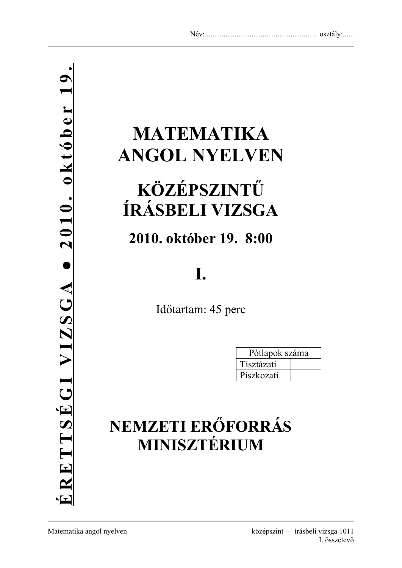# **MATEMATIKA ANGOL NYELVEN**

## **KÖZÉPSZINTŰ ÍRÁSBELI VIZSGA**

### **2010. október 19. 8:00**

**I.**

Időtartam: 45 perc

| Pótlapok száma |  |  |
|----------------|--|--|
| Tisztázati     |  |  |
| Piszkozati     |  |  |

## **NEMZETI ERŐFORRÁS MINISZTÉRIUM**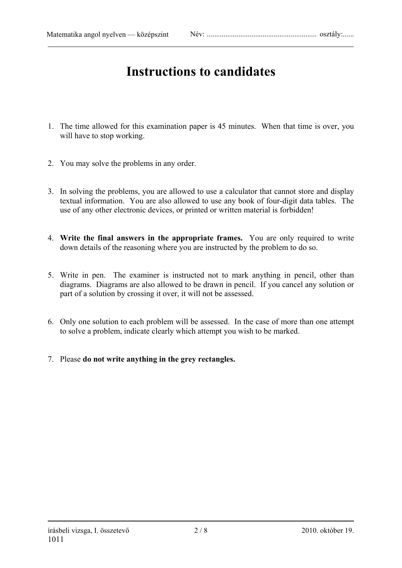### **Instructions to candidates**

- 1. The time allowed for this examination paper is 45 minutes. When that time is over, you will have to stop working.
- 2. You may solve the problems in any order.
- 3. In solving the problems, you are allowed to use a calculator that cannot store and display textual information. You are also allowed to use any book of four-digit data tables. The use of any other electronic devices, or printed or written material is forbidden!
- 4. **Write the final answers in the appropriate frames.** You are only required to write down details of the reasoning where you are instructed by the problem to do so.
- 5. Write in pen. The examiner is instructed not to mark anything in pencil, other than diagrams. Diagrams are also allowed to be drawn in pencil. If you cancel any solution or part of a solution by crossing it over, it will not be assessed.
- 6. Only one solution to each problem will be assessed. In the case of more than one attempt to solve a problem, indicate clearly which attempt you wish to be marked.
- 7. Please **do not write anything in the grey rectangles.**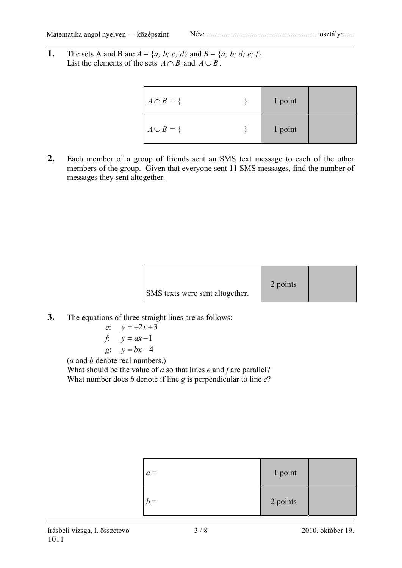**1.** The sets A and B are  $A = \{a; b; c; d\}$  and  $B = \{a; b; d; e; f\}$ . List the elements of the sets  $A \cap B$  and  $A \cup B$ .

| $A \cap B = \{$ | 1 point |  |
|-----------------|---------|--|
| $A \cup B = \{$ | 1 point |  |

**2.** Each member of a group of friends sent an SMS text message to each of the other members of the group. Given that everyone sent 11 SMS messages, find the number of messages they sent altogether.

| <b>SMS</b> texts were sent altogether. | 2 points |  |
|----------------------------------------|----------|--|
|----------------------------------------|----------|--|

**3.** The equations of three straight lines are as follows:

e: 
$$
y = -2x + 3
$$
  
f:  $y = ax - 1$   
g:  $y = bx - 4$ 

(*a* and *b* denote real numbers.)

What should be the value of *a* so that lines *e* and *f* are parallel? What number does *b* denote if line *g* is perpendicular to line *e*?

| $a =$ | 1 point  |
|-------|----------|
| $b =$ | 2 points |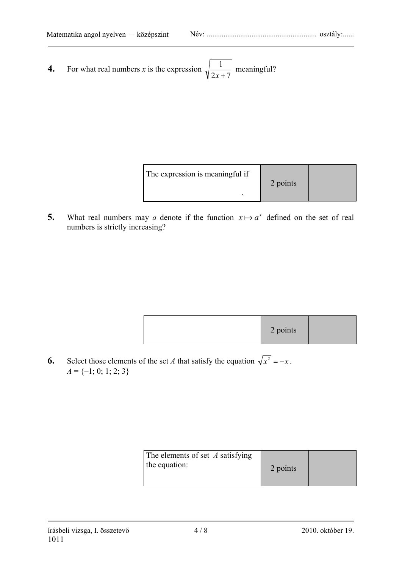**4.** For what real numbers *x* is the expression  $\sqrt{\frac{1}{2x+7}}$ *x* + meaningful?

| The expression is meaningful if | 2 points |  |
|---------------------------------|----------|--|
|                                 |          |  |

**5.** What real numbers may *a* denote if the function  $x \mapsto a^x$  defined on the set of real numbers is strictly increasing?

|  | 2 points |
|--|----------|
|--|----------|

**6.** Select those elements of the set *A* that satisfy the equation  $\sqrt{x^2} = -x$ .  $A = \{-1; 0; 1; 2; 3\}$ 

| The elements of set $\Lambda$ satisfying<br>the equation: | 2 points |  |
|-----------------------------------------------------------|----------|--|
|                                                           |          |  |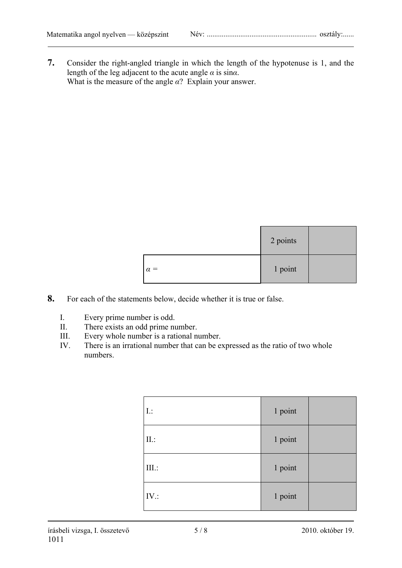**7.** Consider the right-angled triangle in which the length of the hypotenuse is 1, and the length of the leg adjacent to the acute angle  $\alpha$  is sin $\alpha$ . What is the measure of the angle  $\alpha$ ? Explain your answer.

|            | 2 points |  |
|------------|----------|--|
| $\alpha =$ | 1 point  |  |

- **8.** For each of the statements below, decide whether it is true or false.
	- I. Every prime number is odd.
	- II. There exists an odd prime number.
	- III. Every whole number is a rational number.
	- IV. There is an irrational number that can be expressed as the ratio of two whole numbers.

| $\mathrm{I}$ : | 1 point |  |
|----------------|---------|--|
| $II$ .:        | 1 point |  |
| $III$ .:       | 1 point |  |
| IV:            | 1 point |  |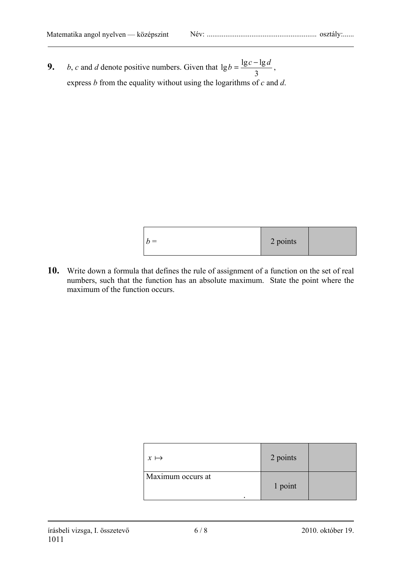**9.** *b*, *c* and *d* denote positive numbers. Given that  $\lg b = \frac{\lg c - \lg d}{3}$ , express *b* from the equality without using the logarithms of *c* and *d*.

| $\overline{a}$ | 2 points |
|----------------|----------|
|----------------|----------|

**10.** Write down a formula that defines the rule of assignment of a function on the set of real numbers, such that the function has an absolute maximum. State the point where the maximum of the function occurs.

| $x \mapsto$       | 2 points |  |
|-------------------|----------|--|
| Maximum occurs at | 1 point  |  |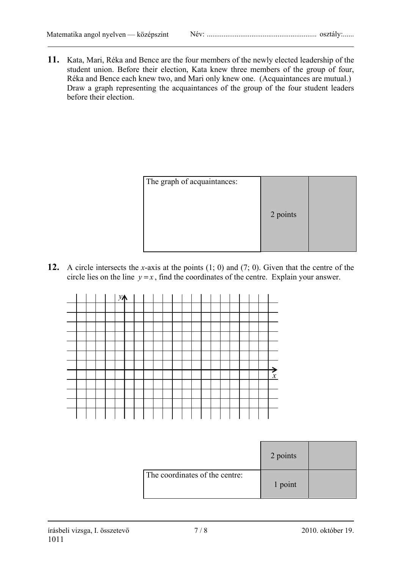**11.** Kata, Mari, Réka and Bence are the four members of the newly elected leadership of the student union. Before their election, Kata knew three members of the group of four, Réka and Bence each knew two, and Mari only knew one. (Acquaintances are mutual.) Draw a graph representing the acquaintances of the group of the four student leaders before their election.

| The graph of acquaintances: | 2 points |  |
|-----------------------------|----------|--|
|-----------------------------|----------|--|

**12.** A circle intersects the *x*-axis at the points (1; 0) and (7; 0). Given that the centre of the circle lies on the line  $y = x$ , find the coordinates of the centre. Explain your answer.

|  |  | $y_{\spadesuit}$ |  |  |  |  |  |  |  |                      |
|--|--|------------------|--|--|--|--|--|--|--|----------------------|
|  |  |                  |  |  |  |  |  |  |  |                      |
|  |  |                  |  |  |  |  |  |  |  |                      |
|  |  |                  |  |  |  |  |  |  |  |                      |
|  |  |                  |  |  |  |  |  |  |  |                      |
|  |  |                  |  |  |  |  |  |  |  |                      |
|  |  |                  |  |  |  |  |  |  |  |                      |
|  |  |                  |  |  |  |  |  |  |  |                      |
|  |  |                  |  |  |  |  |  |  |  | $\overrightarrow{x}$ |
|  |  |                  |  |  |  |  |  |  |  |                      |
|  |  |                  |  |  |  |  |  |  |  |                      |
|  |  |                  |  |  |  |  |  |  |  |                      |
|  |  |                  |  |  |  |  |  |  |  |                      |

|                                | 2 points |  |
|--------------------------------|----------|--|
| The coordinates of the centre: | 1 point  |  |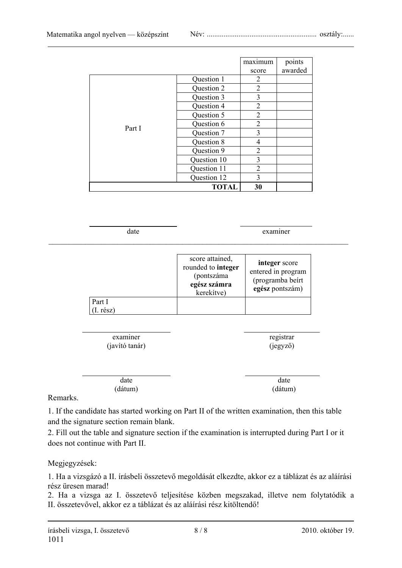|        |              | maximum        | points  |
|--------|--------------|----------------|---------|
|        |              | score          | awarded |
|        | Question 1   | 2              |         |
|        | Question 2   | $\overline{2}$ |         |
|        | Question 3   | 3              |         |
|        | Question 4   | $\overline{2}$ |         |
|        | Question 5   | $\overline{2}$ |         |
| Part I | Question 6   | $\overline{2}$ |         |
|        | Question 7   | 3              |         |
|        | Question 8   | $\overline{4}$ |         |
|        | Question 9   | $\overline{2}$ |         |
|        | Question 10  | 3              |         |
|        | Question 11  | 2              |         |
|        | Question 12  | 3              |         |
|        | <b>TOTAL</b> | 30             |         |

date examiner

|                            | score attained,<br>rounded to integer<br>(pontszáma<br>egész számra<br>kerekítve) | integer score<br>entered in program<br>(programba beírt<br>egész pontszám) |
|----------------------------|-----------------------------------------------------------------------------------|----------------------------------------------------------------------------|
| Part I<br>(I. rész)        |                                                                                   |                                                                            |
| examiner<br>(javító tanár) |                                                                                   | registrar<br>(jegyző)                                                      |

\_\_\_\_\_\_\_\_\_\_\_\_\_\_\_\_\_\_\_\_\_\_\_\_\_\_\_\_\_\_\_\_\_\_\_\_\_\_\_\_\_\_\_\_\_\_\_\_\_\_\_\_\_\_\_\_\_\_\_\_\_\_\_\_\_\_\_\_\_\_\_\_\_\_

date (dátum)

date (dátum)

Remarks.

1. If the candidate has started working on Part II of the written examination, then this table and the signature section remain blank.

2. Fill out the table and signature section if the examination is interrupted during Part I or it does not continue with Part II.

Megjegyzések:

1. Ha a vizsgázó a II. írásbeli összetevő megoldását elkezdte, akkor ez a táblázat és az aláírási rész üresen marad!

2. Ha a vizsga az I. összetevő teljesítése közben megszakad, illetve nem folytatódik a II. összetevővel, akkor ez a táblázat és az aláírási rész kitöltendő!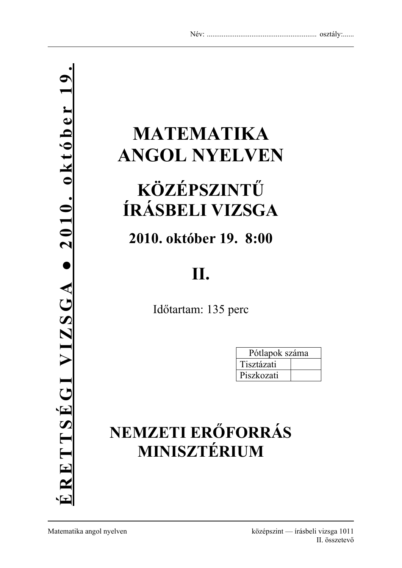# **MATEMATIKA ANGOL NYELVEN**

## **KÖZÉPSZINTŰ ÍRÁSBELI VIZSGA**

### **2010. október 19. 8:00**

## **II.**

Időtartam: 135 perc

| Pótlapok száma |  |  |  |  |
|----------------|--|--|--|--|
| Tisztázati     |  |  |  |  |
| Piszkozati     |  |  |  |  |

## **NEMZETI ERŐFORRÁS MINISZTÉRIUM**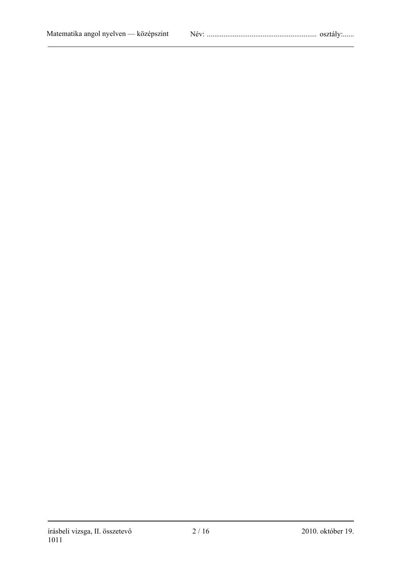| Matematika angol nyelven — középszint |  |  |
|---------------------------------------|--|--|
|---------------------------------------|--|--|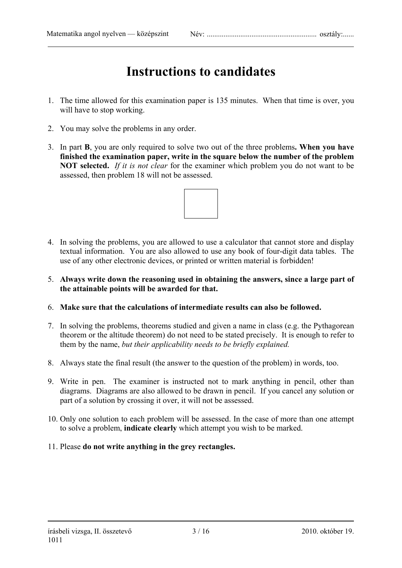### **Instructions to candidates**

- 1. The time allowed for this examination paper is 135 minutes. When that time is over, you will have to stop working.
- 2. You may solve the problems in any order.
- 3. In part **B**, you are only required to solve two out of the three problems**. When you have finished the examination paper, write in the square below the number of the problem NOT selected.** *If it is not clear* for the examiner which problem you do not want to be assessed, then problem 18 will not be assessed.



- 4. In solving the problems, you are allowed to use a calculator that cannot store and display textual information. You are also allowed to use any book of four-digit data tables. The use of any other electronic devices, or printed or written material is forbidden!
- 5. **Always write down the reasoning used in obtaining the answers, since a large part of the attainable points will be awarded for that.**
- 6. **Make sure that the calculations of intermediate results can also be followed.**
- 7. In solving the problems, theorems studied and given a name in class (e.g. the Pythagorean theorem or the altitude theorem) do not need to be stated precisely. It is enough to refer to them by the name, *but their applicability needs to be briefly explained.*
- 8. Always state the final result (the answer to the question of the problem) in words, too.
- 9. Write in pen. The examiner is instructed not to mark anything in pencil, other than diagrams. Diagrams are also allowed to be drawn in pencil. If you cancel any solution or part of a solution by crossing it over, it will not be assessed.
- 10. Only one solution to each problem will be assessed. In the case of more than one attempt to solve a problem, **indicate clearly** which attempt you wish to be marked.
- 11. Please **do not write anything in the grey rectangles.**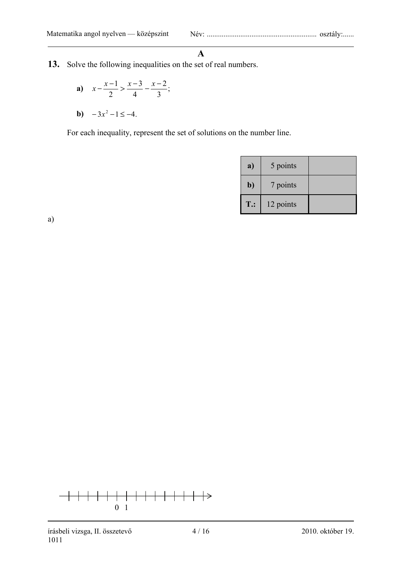#### **A**

**13.** Solve the following inequalities on the set of real numbers.

a) 
$$
x - \frac{x-1}{2} > \frac{x-3}{4} - \frac{x-2}{3}
$$
;

**b)** 
$$
-3x^2 - 1 \le -4
$$
.

For each inequality, represent the set of solutions on the number line.

| a)           | 5 points  |  |
|--------------|-----------|--|
| $\mathbf{b}$ | 7 points  |  |
| <b>T.:</b>   | 12 points |  |

a)

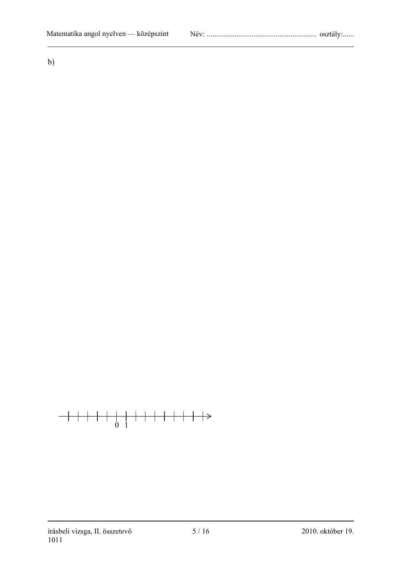b)

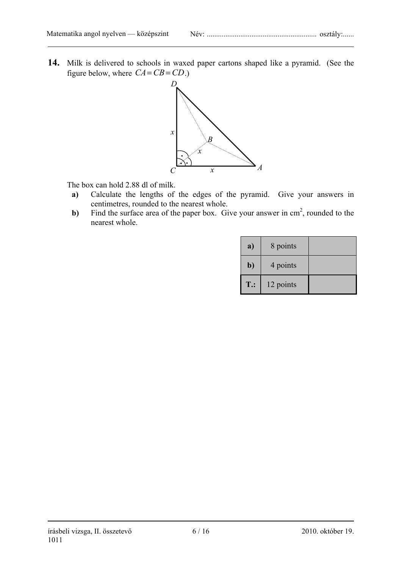**14.** Milk is delivered to schools in waxed paper cartons shaped like a pyramid. (See the figure below, where  $CA = CB = CD$ .)



The box can hold 2.88 dl of milk.

- **a)** Calculate the lengths of the edges of the pyramid. Give your answers in centimetres, rounded to the nearest whole.
- **b)** Find the surface area of the paper box. Give your answer in  $cm<sup>2</sup>$ , rounded to the nearest whole.

| a)     | 8 points  |  |
|--------|-----------|--|
| b)     | 4 points  |  |
| $T$ .: | 12 points |  |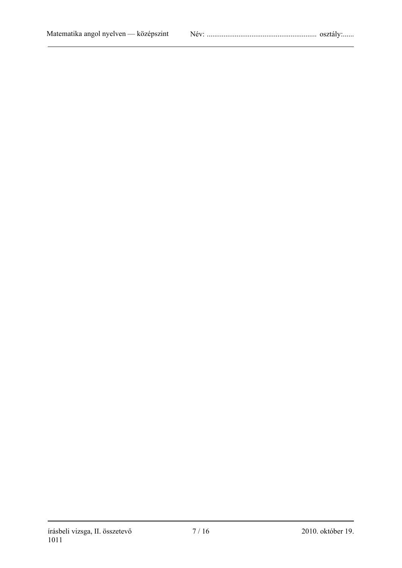| Matematika angol nyelven — középszint |  |  |
|---------------------------------------|--|--|
|---------------------------------------|--|--|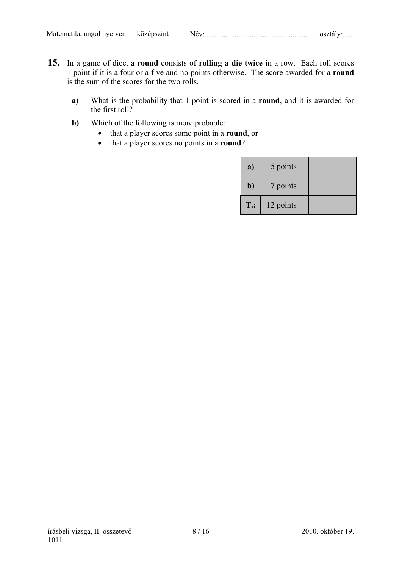- **15.** In a game of dice, a **round** consists of **rolling a die twice** in a row. Each roll scores 1 point if it is a four or a five and no points otherwise. The score awarded for a **round** is the sum of the scores for the two rolls.
	- **a)** What is the probability that 1 point is scored in a **round**, and it is awarded for the first roll?
	- **b)** Which of the following is more probable:
		- that a player scores some point in a **round**, or
		- that a player scores no points in a **round**?

| a)           | 5 points  |  |
|--------------|-----------|--|
| $\mathbf{b}$ | 7 points  |  |
| $T$ .:       | 12 points |  |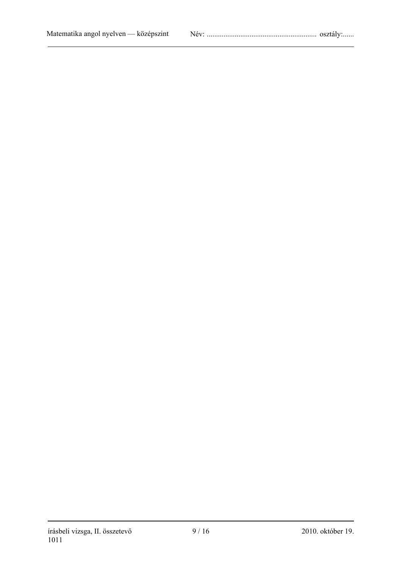| Matematika angol nyelven — középszint |  |  |
|---------------------------------------|--|--|
|---------------------------------------|--|--|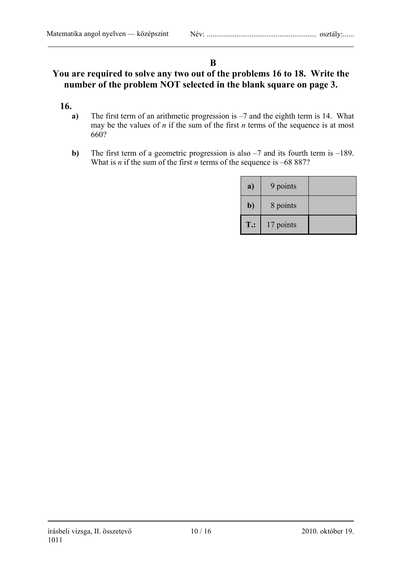### **B**

### **You are required to solve any two out of the problems 16 to 18. Write the number of the problem NOT selected in the blank square on page 3.**

#### **16.**

- **a)** The first term of an arithmetic progression is –7 and the eighth term is 14. What may be the values of *n* if the sum of the first *n* terms of the sequence is at most 660?
- **b**) The first term of a geometric progression is also –7 and its fourth term is –189. What is *n* if the sum of the first *n* terms of the sequence is  $-68\,887$ ?

| a)           | 9 points  |  |
|--------------|-----------|--|
| $\mathbf{b}$ | 8 points  |  |
| $T$ .:       | 17 points |  |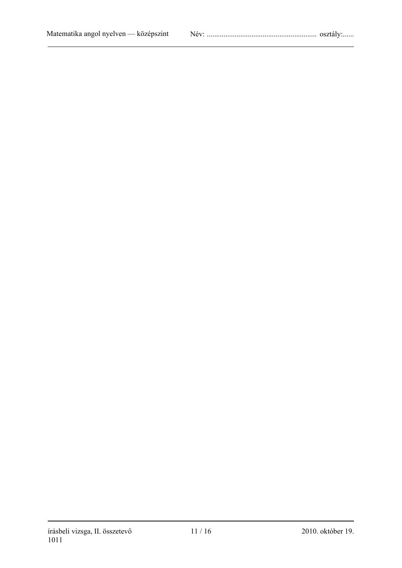| Matematika angol nyelven — középszint |  |  |
|---------------------------------------|--|--|
|---------------------------------------|--|--|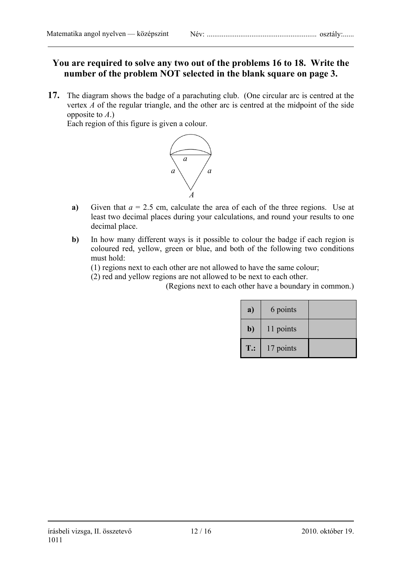#### **You are required to solve any two out of the problems 16 to 18. Write the number of the problem NOT selected in the blank square on page 3.**

**17.** The diagram shows the badge of a parachuting club. (One circular arc is centred at the vertex *A* of the regular triangle, and the other arc is centred at the midpoint of the side opposite to *A*.)

Each region of this figure is given a colour.



- **a)** Given that *a* = 2.5 cm, calculate the area of each of the three regions. Use at least two decimal places during your calculations, and round your results to one decimal place.
- **b)** In how many different ways is it possible to colour the badge if each region is coloured red, yellow, green or blue, and both of the following two conditions must hold:

(1) regions next to each other are not allowed to have the same colour;

(2) red and yellow regions are not allowed to be next to each other.

(Regions next to each other have a boundary in common.)

| a)           | 6 points  |  |
|--------------|-----------|--|
| $\mathbf{b}$ | 11 points |  |
| $T$ .:       | 17 points |  |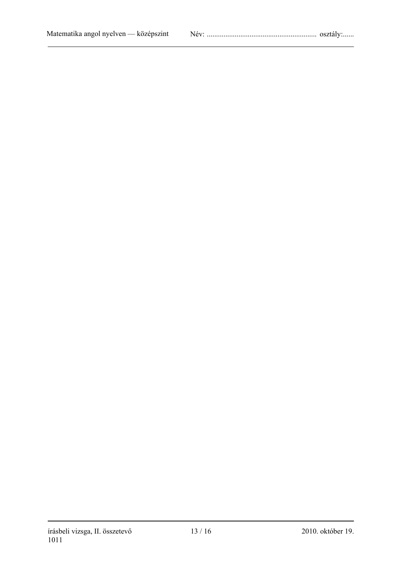| Matematika angol nyelven — középszint |  |  |
|---------------------------------------|--|--|
|---------------------------------------|--|--|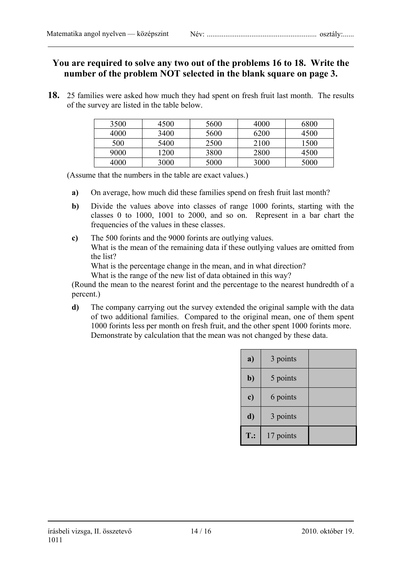#### **You are required to solve any two out of the problems 16 to 18. Write the number of the problem NOT selected in the blank square on page 3.**

**18.** 25 families were asked how much they had spent on fresh fruit last month. The results of the survey are listed in the table below.

| 3500 | 4500 | 5600 | 4000 | 6800 |
|------|------|------|------|------|
| 4000 | 3400 | 5600 | 6200 | 4500 |
| 500  | 5400 | 2500 | 2100 | 1500 |
| 9000 | 1200 | 3800 | 2800 | 4500 |
| 4000 | 3000 | 5000 | 3000 | 5000 |

(Assume that the numbers in the table are exact values.)

- **a)** On average, how much did these families spend on fresh fruit last month?
- **b)** Divide the values above into classes of range 1000 forints, starting with the classes 0 to 1000, 1001 to 2000, and so on. Represent in a bar chart the frequencies of the values in these classes.
- **c)** The 500 forints and the 9000 forints are outlying values. What is the mean of the remaining data if these outlying values are omitted from the list? What is the percentage change in the mean, and in what direction? What is the range of the new list of data obtained in this way?

(Round the mean to the nearest forint and the percentage to the nearest hundredth of a percent.)

**d)** The company carrying out the survey extended the original sample with the data of two additional families. Compared to the original mean, one of them spent 1000 forints less per month on fresh fruit, and the other spent 1000 forints more. Demonstrate by calculation that the mean was not changed by these data.

| a)           | 3 points  |  |
|--------------|-----------|--|
| $\mathbf{b}$ | 5 points  |  |
| c)           | 6 points  |  |
| d)           | 3 points  |  |
| <b>T.:</b>   | 17 points |  |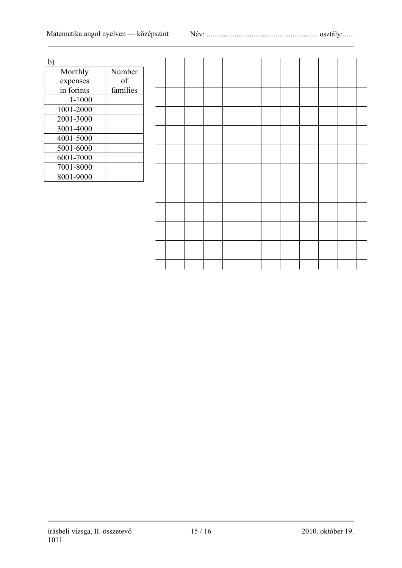| b          |          |
|------------|----------|
| Monthly    | Number   |
| expenses   | of       |
| in forints | families |
| $1 - 1000$ |          |
| 1001-2000  |          |
| 2001-3000  |          |
| 3001-4000  |          |
| 4001-5000  |          |
| 5001-6000  |          |
| 6001-7000  |          |
| 7001-8000  |          |
| 8001-9000  |          |